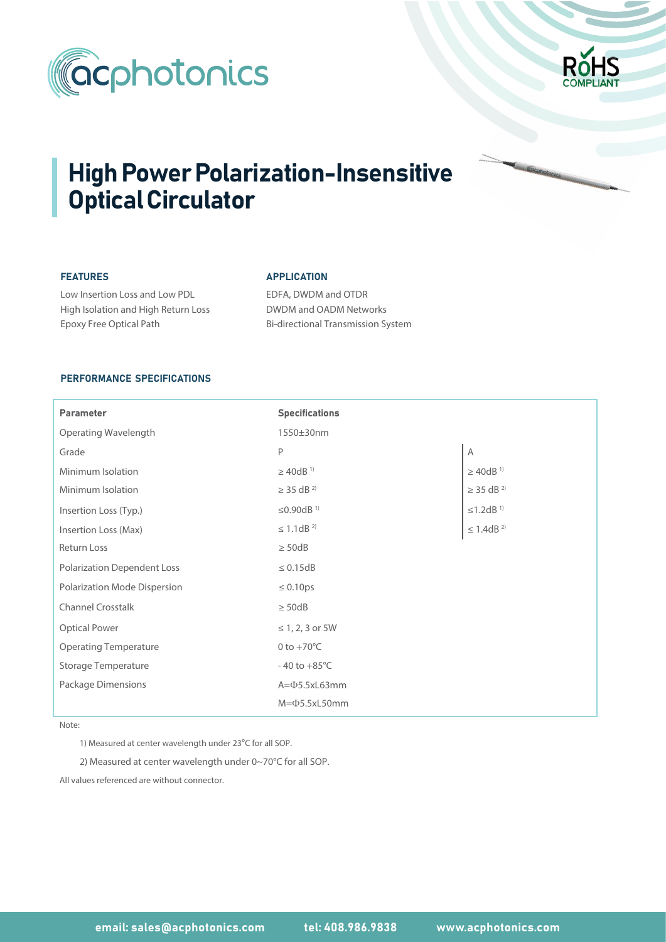



# High Power Polarization-Insensitive Optical Circulator

## FEATURES

Epoxy Free Optical Path

Low Insertion Loss and Low PDL High Isolation and High Return Loss

#### APPLICATION

EDFA, DWDM and OTDR DWDM and OADM Networks Bi-directional Transmission System

## PERFORMANCE SPECIFICATIONS

| Parameter                          | <b>Specifications</b>      |                            |
|------------------------------------|----------------------------|----------------------------|
| <b>Operating Wavelength</b>        | 1550±30nm                  |                            |
| Grade                              | P                          | A                          |
| Minimum Isolation                  | $\geq$ 40dB <sup>1)</sup>  | $\geq$ 40dB <sup>1)</sup>  |
| Minimum Isolation                  | $\geq$ 35 dB <sup>2)</sup> | $\geq$ 35 dB <sup>2)</sup> |
| Insertion Loss (Typ.)              | ≤0.90dB <sup>1)</sup>      | $\leq$ 1.2dB $^{\rm 1)}$   |
| Insertion Loss (Max)               | $\leq$ 1.1dB <sup>2)</sup> | $\leq$ 1.4dB $^{2)}$       |
| <b>Return Loss</b>                 | $\geq$ 50dB                |                            |
| <b>Polarization Dependent Loss</b> | $\leq 0.15dB$              |                            |
| Polarization Mode Dispersion       | $\leq 0.10 \text{ps}$      |                            |
| <b>Channel Crosstalk</b>           | $\geq$ 50dB                |                            |
| <b>Optical Power</b>               | ≤ 1, 2, 3 or 5W            |                            |
| <b>Operating Temperature</b>       | 0 to $+70^{\circ}$ C       |                            |
| <b>Storage Temperature</b>         | $-40$ to $+85^{\circ}$ C   |                            |
| Package Dimensions                 | $A = \Phi$ 5.5xL63mm       |                            |
|                                    | $M = 05.5xL50mm$           |                            |

Note:

1) Measured at center wavelength under 23°C for all SOP.

2) Measured at center wavelength under 0~70°C for all SOP.

All values referenced are without connector.